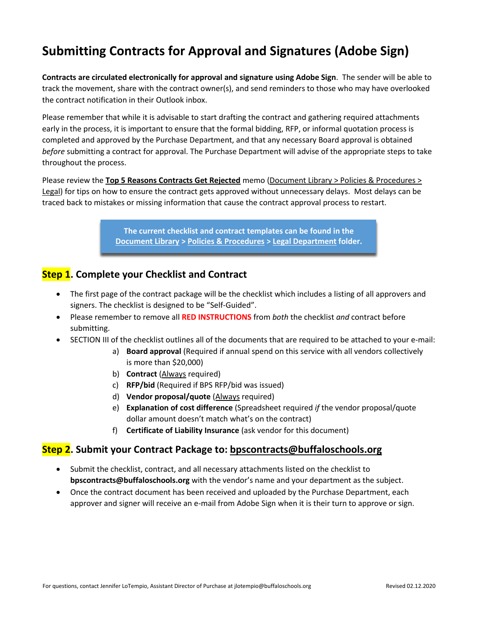# **Submitting Contracts for Approval and Signatures (Adobe Sign)**

**Contracts are circulated electronically for approval and signature using Adobe Sign**. The sender will be able to track the movement, share with the contract owner(s), and send reminders to those who may have overlooked the contract notification in their Outlook inbox.

Please remember that while it is advisable to start drafting the contract and gathering required attachments early in the process, it is important to ensure that the formal bidding, RFP, or informal quotation process is completed and approved by the Purchase Department, and that any necessary Board approval is obtained *before* submitting a contract for approval. The Purchase Department will advise of the appropriate steps to take throughout the process.

Please review the **Top 5 Reasons Contracts Get Rejected** memo (Document Library > Policies & Procedures > Legal) for tips on how to ensure the contract gets approved without unnecessary delays. Most delays can be traced back to mistakes or missing information that cause the contract approval process to restart.

> **The current checklist and contract templates can be found in the Document Library > Policies & Procedures > Legal Department folder.**

# **Step 1. Complete your Checklist and Contract**

- The first page of the contract package will be the checklist which includes a listing of all approvers and signers. The checklist is designed to be "Self-Guided".
- Please remember to remove all **RED INSTRUCTIONS** from *both* the checklist *and* contract before submitting.
- SECTION III of the checklist outlines all of the documents that are required to be attached to your e-mail:
	- a) **Board approval** (Required if annual spend on this service with all vendors collectively is more than \$20,000)
	- b) **Contract** (Always required)
	- c) **RFP/bid** (Required if BPS RFP/bid was issued)
	- d) **Vendor proposal/quote** (Always required)
	- e) **Explanation of cost difference** (Spreadsheet required *if* the vendor proposal/quote dollar amount doesn't match what's on the contract)
	- f) **Certificate of Liability Insurance** (ask vendor for this document)

### **Step 2. Submit your Contract Package to: bpscontracts@buffaloschools.org**

- Submit the checklist, contract, and all necessary attachments listed on the checklist to **bpscontracts@buffaloschools.org** with the vendor's name and your department as the subject.
- Once the contract document has been received and uploaded by the Purchase Department, each approver and signer will receive an e-mail from Adobe Sign when it is their turn to approve or sign.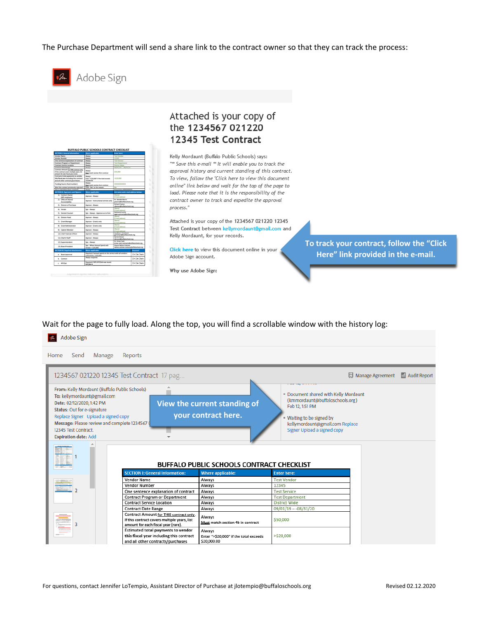The Purchase Department will send a share link to the contract owner so that they can track the process:



| <b>SECTION:</b> L. General Information:                                                                                      | Where applicable:                                                                    | <b>Enter here:</b>                                                       |                  |
|------------------------------------------------------------------------------------------------------------------------------|--------------------------------------------------------------------------------------|--------------------------------------------------------------------------|------------------|
| <b>Vendor Name</b>                                                                                                           | <b>Kiness</b>                                                                        | Test Vendor                                                              |                  |
| <b>Vendor Number</b>                                                                                                         | <b>Riverpot</b>                                                                      | 12345                                                                    |                  |
| One semance explanation of contract.                                                                                         | <b>Roways</b>                                                                        | <b>Test Service</b>                                                      |                  |
| Contract Program or Department                                                                                               | <b>Kingsys</b>                                                                       | Test Desapherana                                                         |                  |
| Contract Service Location                                                                                                    | <b>Rivervil</b>                                                                      | District Wide                                                            |                  |
| Contract Date Range                                                                                                          | <b>Riveryt</b>                                                                       | 09/01/19 = 49/10/28                                                      |                  |
| Contract Amount for 1985 contract only.<br>If this contract covers multiple years, list<br>amount for each focal user (rure) | <b>Riverport</b><br>Must match section 49 in contract                                | \$50,000                                                                 |                  |
| Estimated total payments to wendor<br>this fixed year including this contract<br>and all other contracts/purchases           | <b>Alberta</b><br>Enter 1-130-2007 if the tutal exceeds<br>520, 886 286              | +530-300                                                                 |                  |
| Funding Source (Rund number)                                                                                                 | <b>Alternati</b><br>Must match section 4x in contract                                | <b>EXPERIENCE</b>                                                        |                  |
| Was this contract previously rejected?                                                                                       | Enter "No" or but reason.                                                            | ÷                                                                        |                  |
| Has a requisition been created?                                                                                              | <b>Rivery</b>                                                                        | Regulation #000000000                                                    |                  |
| <b>IECTION II. Approvers and Signers:</b>                                                                                    | Where applicable:                                                                    | List name and a mail address before:                                     |                  |
| 11 Contract Denes<br>(BPS amploune)                                                                                          | Approve - Always                                                                     | <b>Distance</b><br>E-mail address                                        |                  |
| 2) Office of Shared<br>Accountability                                                                                        | Approve - Instructional services only                                                | Or Canada Morris<br>processing buildings how is any                      |                  |
| 3) Director of Purchase                                                                                                      | Approve / Always                                                                     | <b>Rochard Familian</b><br>chemical in distances in any                  |                  |
| 45 Vendor                                                                                                                    | San - Always                                                                         | 3 mai address                                                            |                  |
| 50 General Counsel                                                                                                           | Sapt - Alberta) - Approved at to form                                                | <b>Nathanid Sucha</b><br>legal contracts@buffalowhook.org                |                  |
| 63 Districtor Head                                                                                                           | Approve - Always                                                                     | Louis abbasi                                                             |                  |
| 71 Grant Manager                                                                                                             | Approve - Grants only                                                                | 3-mail address                                                           |                  |
| 8) Grant Administrator                                                                                                       | Approve - Grants only                                                                | <b>Norwal</b><br>3 mail address                                          |                  |
| <b>St.</b> Cabinet Member                                                                                                    | Approve - Always                                                                     | <b>Service</b><br>Low witns                                              |                  |
| 101 Chief Financial Officer                                                                                                  | Approve - Alleges                                                                    | September 21 Prints Band<br>garitchard@buffaloschools.org                |                  |
| 11) Chief of Staff                                                                                                           | Approve - Alleges                                                                    | Darran Brown<br>distant@buffalco.hoch.og                                 |                  |
| 12) Superintendent                                                                                                           | Sign - Alterno                                                                       | Or Krows Cash<br><b>Winer cash-contracts@buffaluschools.org</b>          |                  |
| 131 Board Principant                                                                                                         | lign - When Annual Lornd with<br>Wendor > \$28,008                                   | <b>Starter Bellon-Collings</b><br>dahat-catmas contram phofaica hash are |                  |
| <b>UCTION II: Required Attachments:</b>                                                                                      | Where applicable:                                                                    |                                                                          | <b>American</b>  |
| a. Board approval                                                                                                            | Required if annual spend on this service with all vendors<br>callectively > \$20,000 |                                                                          | <b>DY DN DNA</b> |
| <b>b.</b> Contract                                                                                                           | <b>Kiways</b> required                                                               |                                                                          | <b>DY DN DNA</b> |
|                                                                                                                              |                                                                                      |                                                                          |                  |

# Attached is your copy of the 1234567 021220 12345 Test Contract

Kelly Mordaunt (Buffalo Public Schools) says: "\*\* Save this e-mail \*\* It will enable you to track the approval history and current standing of this contract. To view, follow the "Click here to view this document online" link below and wait for the top of the page to load. Please note that it is the responsibility of the contract owner to track and expedite the approval process."

Attached is your copy of the 1234567 021220 12345 Test Contract between kellymordaunt@gmail.com and Kelly Mordaunt, for your records.

Click here to view this document online in your Adobe Sign account.

Why use Adobe Sign:

**To track your contract, follow the "Click Here" link provided in the e-mail.**

Wait for the page to fully load. Along the top, you will find a scrollable window with the history log:

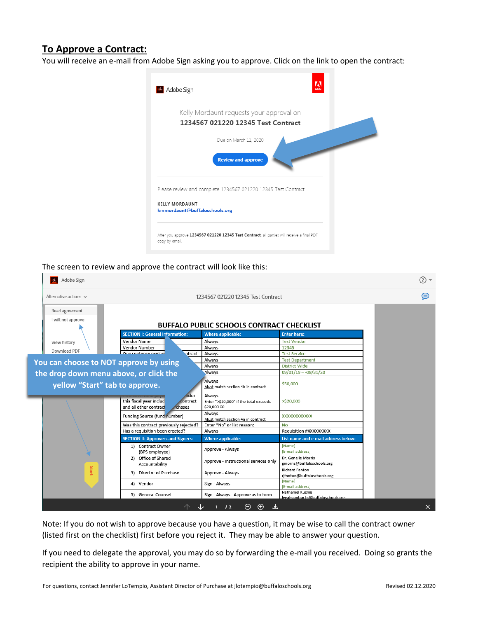## **To Approve a Contract:**

You will receive an e-mail from Adobe Sign asking you to approve. Click on the link to open the contract:



#### The screen to review and approve the contract will look like this:

| Adobe Sign                                                       |                                                                                       |                                                                 |                                                       | ⊙ -      |
|------------------------------------------------------------------|---------------------------------------------------------------------------------------|-----------------------------------------------------------------|-------------------------------------------------------|----------|
| Alternative actions $\vee$<br>1234567 021220 12345 Test Contract |                                                                                       |                                                                 |                                                       |          |
| Read agreement<br>I will not approve                             |                                                                                       | <b>BUFFALO PUBLIC SCHOOLS CONTRACT CHECKLIST</b>                |                                                       |          |
|                                                                  | <b>SECTION I: General Information:</b>                                                | <b>Where applicable:</b>                                        | <b>Enter here:</b>                                    |          |
| View history                                                     | Vendor Name                                                                           | Always                                                          | <b>Test Vendor</b>                                    |          |
|                                                                  | Vendor Number                                                                         | Always                                                          | 12345                                                 |          |
| Download PDF                                                     | One sentence explans<br>ntract                                                        | Always                                                          | <b>Test Service</b>                                   |          |
| You can choose to NOT approve by using                           |                                                                                       | Always                                                          | <b>Test Department</b>                                |          |
|                                                                  |                                                                                       | Always                                                          | <b>District Wide</b>                                  |          |
| the drop down menu above, or click the                           |                                                                                       | Always                                                          | $09/01/19 - 08/31/20$                                 |          |
| yellow "Start" tab to approve.                                   |                                                                                       | Always<br>Must match section 4b in contract                     | \$50,000                                              |          |
|                                                                  | <b>ndor</b><br>this fiscal year includ<br>ontract<br>and all other contract<br>chases | Always<br>Enter ">\$20,000" if the total exceeds<br>\$20,000.00 | $>$ \$20,000                                          |          |
|                                                                  | Funding Source (fund number)                                                          | Always<br>Must match section 4a in contract                     | <b>XXXXXXXXXXXXX</b>                                  |          |
|                                                                  | Was this contract previously rejected?                                                | Enter "No" or list reason:                                      | <b>No</b>                                             |          |
|                                                                  | Has a requisition been created?                                                       | Always                                                          | Requisition #XXXXXXXXX                                |          |
|                                                                  | <b>SECTION II: Approvers and Signers:</b>                                             | <b>Where applicable:</b>                                        | List name and e-mail address below:                   |          |
|                                                                  | 1) Contract Owner<br>(BPS employee)                                                   | Approve - Always                                                | [Name]<br>[E-mail address]                            |          |
|                                                                  | 2) Office of Shared<br>Accountability                                                 | Approve - Instructional services only                           | Dr. Genelle Morris<br>gmorris@buffaloschools.org      |          |
| Start                                                            | 3) Director of Purchase                                                               | Approve - Always                                                | <b>Richard Fanton</b><br>rjfanton@buffaloschools.org  |          |
|                                                                  | 4) Vendor                                                                             | Sign - Always                                                   | [Name]<br>[E-mail address]                            |          |
|                                                                  | 5) General Counsel                                                                    | Sign - Always - Approve as to form                              | Nathaniel Kuzma<br>legal-contracts@buffaloschools.org |          |
|                                                                  |                                                                                       | Θ<br>$\oplus$<br>1/2<br>Æ.                                      |                                                       | $\times$ |

Note: If you do not wish to approve because you have a question, it may be wise to call the contract owner (listed first on the checklist) first before you reject it. They may be able to answer your question.

If you need to delegate the approval, you may do so by forwarding the e-mail you received. Doing so grants the recipient the ability to approve in your name.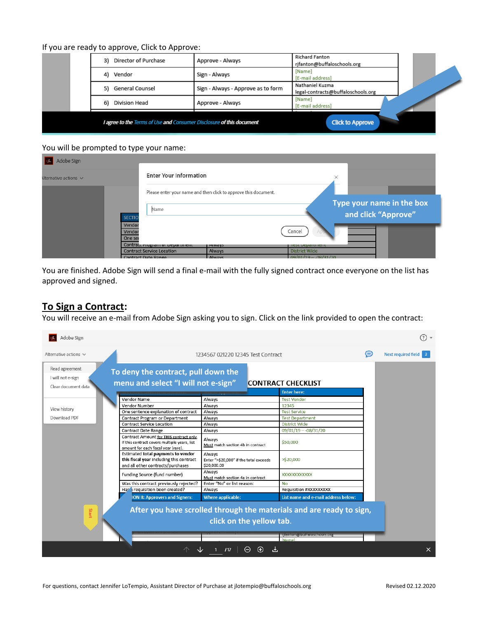#### If you are ready to approve, Click to Approve:

|  | I agree to the Terms of Use and Consumer Disclosure of this document |                                    | <b>Click to Approve</b>                               |  |
|--|----------------------------------------------------------------------|------------------------------------|-------------------------------------------------------|--|
|  | Division Head<br>6)                                                  | Approve - Always                   | [Name]<br>[E-mail address]                            |  |
|  | General Counsel<br>5)                                                | Sign - Always - Approve as to form | Nathaniel Kuzma<br>legal-contracts@buffaloschools.org |  |
|  | Vendor<br>4)                                                         | Sign - Always                      | [Name]<br>[E-mail address]                            |  |
|  | Director of Purchase<br>3)                                           | Approve - Always                   | <b>Richard Fanton</b><br>rifanton@buffaloschools.org  |  |

#### You will be prompted to type your name:

| Adobe Sign                |                                  |                                                                 |                        |                                                  |  |
|---------------------------|----------------------------------|-----------------------------------------------------------------|------------------------|--------------------------------------------------|--|
| Iternative actions $\vee$ | <b>Enter Your Information</b>    |                                                                 | ×                      |                                                  |  |
|                           |                                  | Please enter your name and then click to approve this document. |                        |                                                  |  |
|                           | Name<br><b>SECTIC</b>            |                                                                 |                        | Type your name in the box<br>and click "Approve" |  |
|                           | Vendor<br>Vendor<br>One set      |                                                                 | Cancel                 |                                                  |  |
|                           | Contract Program or Department   | <b>Always</b>                                                   | <b>TEST DEPARTMENT</b> |                                                  |  |
|                           | <b>Contract Service Location</b> | Always                                                          | <b>District Wide</b>   |                                                  |  |
|                           | Contract Date Range              | <b>Always</b>                                                   | $09/01/19 - 08/31/20$  |                                                  |  |

You are finished. Adobe Sign will send a final e-mail with the fully signed contract once everyone on the list has approved and signed.

# **To Sign a Contract:**

You will receive an e-mail from Adobe Sign asking you to sign. Click on the link provided to open the contract: